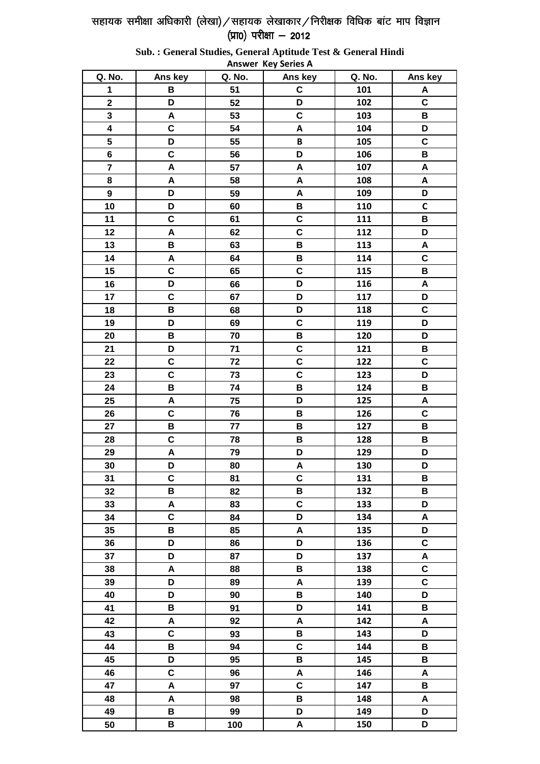Q. No. Ans key Q. No. Ans key Q. No. Ans key 51 101  $\mathbf 1$  $\, {\bf B}$  $\mathbf c$  $\mathsf{A}$  $\boldsymbol{2}$ D 52 D 102  $\mathbf c$  $\overline{c}$  $\overline{\mathbf{3}}$  $\overline{A}$ 53 103  $\, {\bf B}$  $\overline{\mathbf{4}}$  $\mathbf C$ D 54 A 104 5  $\mathbf C$ D 55 105 B  $\overline{\mathbf{c}}$  $\overline{\mathbf{B}}$  $6\phantom{a}$ 56 D 106  $\overline{\mathbf{z}}$  $\overline{A}$ 57  $\overline{\mathsf{A}}$ 107  $\overline{\mathsf{A}}$ 8 A 58  $\mathbf{A}$ 108  $\mathsf{A}$  $\boldsymbol{9}$ D 59 A 109 D  $10$ D 60 B 110  $\mathsf{C}$  $11$  $\mathbf c$ 61  $\mathbf c$ 111 B  $12$ A 62  $\mathbf C$ 112 D 13  $\mathbf B$ 63  $\mathbf B$ 113  $\overline{A}$  $14$  $\overline{A}$  $\mathbf{B}$  $\mathbf c$ 64 114  $\mathbf C$ 15 65  $\mathbf C$ 115  $\, {\bf B}$ 16 D D 116  $\overline{\mathsf{A}}$ 66  $\overline{c}$  $\frac{117}{117}$  $\overline{\mathsf{D}}$  $17$ 67 D 18  $\overline{\mathbf{B}}$ 68  $\overline{\mathsf{D}}$ 118  $\overline{c}$  $\overline{\mathsf{D}}$  $\overline{\mathbf{c}}$  $\overline{\mathsf{D}}$ 119 19 69  $\overline{\mathsf{D}}$  $\overline{B}$  $\overline{B}$  $\frac{1}{120}$ 70 20  $\overline{\mathbf{c}}$  $\overline{\mathbf{B}}$ D 121  $21$  $71$  $\overline{c}$ 22  $\mathbf C$ 72  $\mathbf{C}$ 122  $\mathbf C$  $\mathbf c$ D 23 73 123 24 B 74  $\, {\bf B}$ 124  $\, {\bf B}$ 75 25 A D 125  $\mathsf{A}$  $\mathbf c$ 76  $\, {\bf B}$  $\mathbf c$ 26 126  $\mathbf B$ 77  $\, {\bf B}$  $\, {\bf B}$ 27 127  $\mathbf c$  $\mathbf B$ 28 78  $\, {\bf B}$ 128  $\overline{29}$  $\overline{A}$  $\overline{79}$  $\overline{\mathsf{D}}$  $\overline{\mathsf{D}}$ 129 D D 30 80  $\mathbf{A}$ 130  $\mathbf c$  $\mathbf c$  $31$ 81 131  $\, {\bf B}$ 32  $\mathbf B$ 82  $\, {\bf B}$ 132  $\, {\bf B}$  $\overline{c}$ 33 A 83 133 D 34  $\mathbf c$ 84 D 134  $\mathbf{A}$ 35  $\overline{B}$ 85  $\overline{\mathsf{A}}$ 135 D 36 D 86 D 136  $\mathbf{C}$  $37$ D D 87 137  $\mathbf{A}$  $\mathbf c$ 38  $\mathsf{A}$ 88  $\mathbf B$ 138 39 D 89  $\overline{A}$ 139  $\mathbf c$  $\overline{40}$  $\overline{\mathsf{D}}$  $\overline{\mathbf{B}}$ 140  $\overline{\mathsf{D}}$ 90  $\overline{B}$ D  $\mathbf B$ 41 91 141  $\overline{A}$  $\overline{A}$  $\overline{A}$  $\frac{142}{x}$ 42 92  $\overline{\mathbf{c}}$  $\overline{B}$  $\overline{\mathsf{D}}$ 143 43 93  $\overline{B}$  $\overline{\mathbf{c}}$  $\overline{B}$ 44 94 144 45 D 95  $\, {\bf B}$ 145  $\, {\bf B}$  $\mathbf c$ 46 96 A 146 A 47  $\mathbf c$  $\, {\bf B}$ A 97 147 48  $\mathsf{A}$ 98  $\, {\bf B}$ 148  $\boldsymbol{\mathsf{A}}$ 49  $\overline{\mathbf{B}}$ D 149 D 99 50  $\mathbf B$ 100 A 150 D

Sub.: General Studies, General Aptitude Test & General Hindi **Answer Key Series A**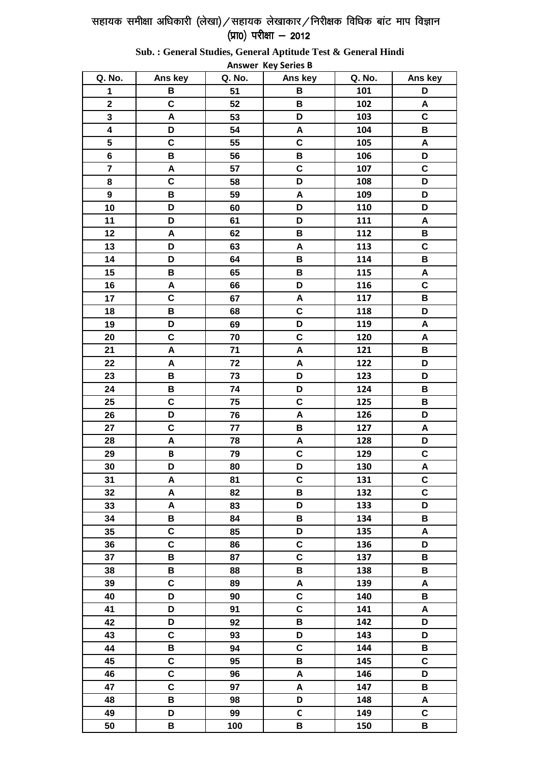Q. No. Ans key Q. No. Q. No. Ans key Ans key  $\frac{101}{101}$ B D  $\mathbf{1}$ 51 B  $\mathbf c$ B 102  $\overline{A}$  $\overline{2}$ 52  $\overline{\mathbf{c}}$  $\overline{A}$ 53 D 3 103  $\overline{\mathbf{4}}$ D 54  $\pmb{\mathsf{A}}$ 104  $\, {\bf B}$  $5\phantom{.0}$  $\mathbf c$ 55  $\mathbf c$ 105 A B  $\mathbf B$ D  $6\phantom{a}$ 56 106  $\overline{7}$  $\mathsf{A}$  $\mathbf c$  $\mathbf c$ 57 107  $\mathbf C$ D 8 58 108 D 109 D  $\overline{9}$  $\mathbf B$ 59  $\mathbf{A}$  $10$ D 60 D 110 D D D  $11$ 61 111  $\boldsymbol{\mathsf{A}}$  $\overline{12}$  $62$  $\overline{\mathbf{B}}$  $\overline{A}$  $\, {\bf B}$ 112  $\overline{\mathbf{c}}$ D 13 63  $\mathbf{A}$ 113 D  $\mathbf B$  $\mathbf B$  $14$ 64 114 15  $\mathbf B$ 65  $\, {\bf B}$ 115  $\mathbf{A}$  $\mathbf C$ 16 A 66 D 116  $17$  $\mathbf c$ 67  $\mathbf{A}$ 117 B 18  $\, {\bf B}$ 68  $\mathbf c$ 118 D  $\overline{19}$  $\overline{D}$ 69  $\overline{D}$  $\frac{119}{119}$  $\overline{A}$  $\overline{A}$  $\overline{20}$  $\overline{c}$  $\overline{70}$  $\overline{\mathbf{c}}$  $\frac{1}{120}$  $\overline{A}$  $\overline{B}$  $21$  $\overline{\mathsf{A}}$  $71$ 121  $\overline{A}$  $\overline{A}$  $\frac{1}{22}$  $\overline{\mathsf{D}}$ 22 72  $\overline{B}$  $\overline{\mathsf{D}}$  $\frac{1}{23}$  $\overline{\mathsf{D}}$ 73 23  $\overline{B}$  $\frac{124}{x}$  $\overline{B}$ D 74 24 25  $\overline{c}$  $\overline{75}$  $\overline{c}$ 125  $\overline{B}$ 26 D 76 A 126 D 27  $\mathbf c$ 77 B 127 A 28  $\overline{A}$ 78  $\mathbf{A}$ 128 D  $\overline{\mathbf{B}}$  $\mathbf c$  $\mathbf c$ 29 79 129 D 80 D 130  $\overline{\mathsf{A}}$ 30  $\mathsf{A}$ 81  $\mathbf c$ 131  $\mathbf C$  $31$ 32  $\overline{\mathsf{A}}$ 82 B  $\mathbf c$ 132  $\mathbf{A}$ D D 33 83 133  $\mathbf B$ 34 B 84 B 134 35  $\overline{c}$ 85 D 135  $\overline{A}$  $\overline{\mathbf{c}}$  $\overline{\mathbf{c}}$  $\overline{\mathsf{D}}$ 36 86 136  $\overline{B}$  $\mathbf c$ 37 87 137  $\, {\bf B}$  $\mathbf B$  $\, {\bf B}$  $\, {\bf B}$ 38 88 138  $\mathbf{C}$ 39 89 A 139 A 40 D 90  $\mathbf c$ 140 B 41 D 91  $\mathbf{C}$ 141  $\mathbf{A}$  $\overline{42}$  $\overline{D}$  $\overline{92}$  $\overline{\mathbf{R}}$  $\frac{1}{142}$  $\overline{\mathsf{n}}$  $\overline{c}$  $\overline{\mathsf{D}}$  $\frac{143}{ }$  $\overline{\mathsf{D}}$ 43 93  $\overline{\mathbf{c}}$ B 144  $\mathbf B$ 44 94  $\overline{\mathbf{c}}$  $\overline{\mathsf{B}}$ 145  $\overline{c}$ 45 95  $\overline{c}$  $\overline{A}$ 146  $\overline{\mathsf{D}}$ 46 96 47  $\mathbf c$ 97  $\overline{A}$  $\, {\bf B}$ 147 48  $\overline{\mathbf{B}}$  $\mathbf{A}$ 98 D 148  $\mathsf{C}$  $\mathbf{C}$ 49 D 99 149 50 B 100 B 150 B

Sub.: General Studies, General Aptitude Test & General Hindi **Answer Key Series B**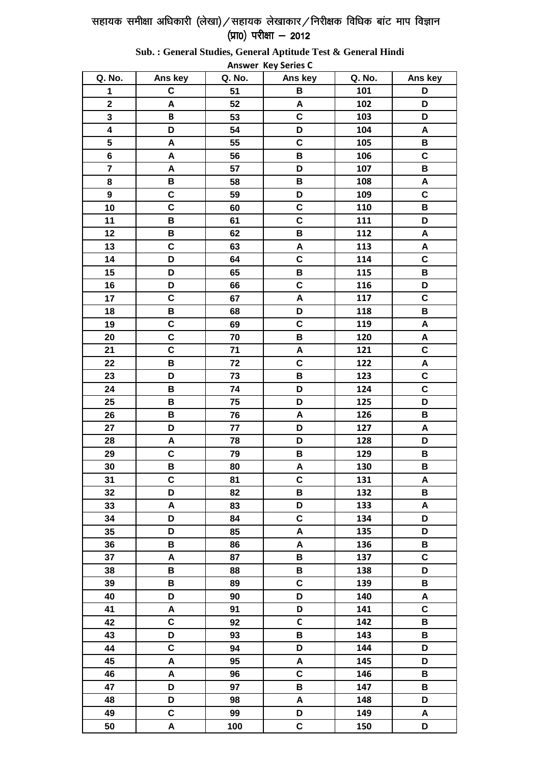Q. No. Ans key Q. No. Ans key Q. No. Ans key  $\frac{101}{101}$  $\mathbf c$ D  $\mathbf{1}$ 51 B  $\overline{A}$ 102 D  $\overline{2}$ 52 A  $\overline{\mathbf{c}}$  $\overline{\mathsf{D}}$  $\overline{B}$ 53 3 103  $\overline{\mathbf{4}}$ D 54 D 104  $\boldsymbol{A}$  $5\phantom{.0}$ A 55  $\mathbf c$ 105 B  $\mathsf{A}$ B  $\mathbf C$  $6\phantom{a}$ 56 106  $\overline{7}$  $\mathsf{A}$ D  $\mathbf B$ 57 107  $\mathbf B$  $\overline{B}$ 8 58 108  $\pmb{\mathsf{A}}$  $\mathbf c$ 109  $\mathbf c$  $\overline{9}$ 59 D  $\overline{\mathbf{c}}$  $10$ 60  $\mathbf c$ 110  $\, {\bf B}$  $\overline{B}$  $\mathbf c$ D  $11$ 61 111  $\overline{12}$  $\overline{B}$  $62$  $\overline{A}$ B 112  $\mathbf c$  $\overline{\mathsf{A}}$ 13 63  $\mathbf{A}$ 113 D  $\overline{\mathbf{c}}$  $\overline{\mathbf{c}}$ 14 64 114 15 D 65 B 115  $\, {\bf B}$  $\mathbf c$ 16 D 66 116 D  $17$  $\mathbf c$ 67  $\mathbf{A}$ 117  $\mathbf c$ 68 18  $\, {\bf B}$ D 118 B  $\overline{19}$  $\overline{c}$ 69  $\overline{c}$  $\frac{119}{119}$  $\overline{A}$  $\overline{20}$  $\overline{\mathbf{c}}$  $\overline{70}$  $\overline{B}$  $\frac{1}{120}$  $\mathbf{A}$  $\overline{\mathbf{c}}$  $\overline{c}$  $21$  $71$  $\mathbf{A}$ 121  $\overline{B}$  $\overline{\mathbf{c}}$  $\frac{1}{22}$  $\overline{A}$ 22 72  $\overline{\mathsf{D}}$  $\overline{\mathsf{B}}$  $\frac{1}{23}$  $\overline{c}$ 73 23  $\overline{B}$  $\frac{124}{x}$  $\overline{c}$ D 74 24 25  $\overline{B}$  $\overline{75}$  $\overline{\mathsf{D}}$ 125  $\overline{\mathsf{D}}$ 26 B 76  $\overline{A}$ 126 B 27 D 77 D 127 A 28  $\overline{A}$ 78 D 128 D  $\mathbf c$  $\, {\bf B}$  $\, {\bf B}$ 29 79 129 B 80  $\overline{\mathsf{A}}$ 130  $\mathbf{B}$ 30  $\mathbf C$ 81  $\mathbf c$ 131  $\boldsymbol{\mathsf{A}}$  $31$ 32 D 82 B  $\, {\bf B}$ 132  $\mathbf{A}$ D 33 83 133  $\boldsymbol{\mathsf{A}}$ D  $\mathbf c$ D 34 84 134 35  $\overline{\mathsf{D}}$ 85  $\overline{A}$ 135  $\overline{\mathsf{D}}$  $\overline{B}$  $\overline{B}$ 36 86  $\overline{A}$ 136  $\mathbf c$ 37  $\mathbf{A}$ 87  $\, {\bf B}$ 137  $\mathbf B$  $\, {\bf B}$ D 38 88 138  $\overline{c}$ 39 B 89 139 B 40 D 90 D 140  $\mathbf{A}$ 41  $\overline{A}$ 91 D 141  $\mathbf{C}$  $\overline{42}$  $\overline{c}$  $\overline{92}$  $\overline{c}$  $\frac{1}{142}$  $\overline{\mathbf{R}}$  $\overline{D}$  $\overline{B}$  $\frac{143}{ }$  $\overline{B}$ 43 93  $\overline{c}$ D 144 D 44 94  $\overline{A}$  $\overline{\mathsf{A}}$ 145  $\overline{\mathsf{D}}$ 45 95  $\overline{A}$  $\overline{\mathbf{c}}$ 146  $\overline{B}$ 46 96 47 D 97 B  $\, {\bf B}$ 147 48 D D 98 A 148  $\mathbf c$ 49 99 D 149 A 50  $\overline{A}$ 100  $\mathbf c$ D 150

#### Sub.: General Studies, General Aptitude Test & General Hindi **Answer Key Series C**